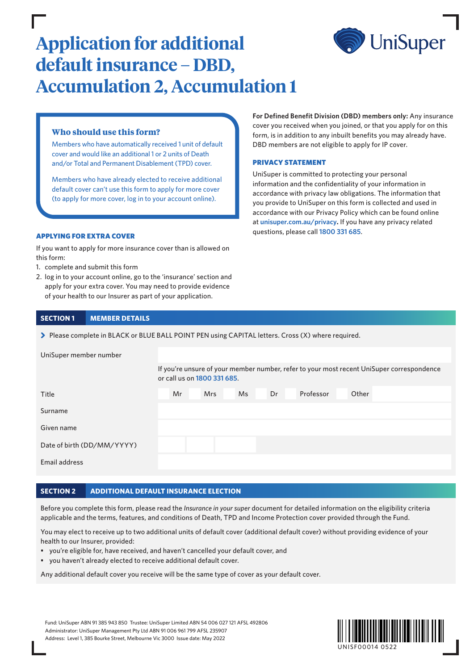

# **Application for additional default insurance – DBD, Accumulation 2, Accumulation 1**

# **Who should use this form?**

Members who have automatically received 1 unit of default cover and would like an additional 1 or 2 units of Death and/or Total and Permanent Disablement (TPD) cover.

Members who have already elected to receive additional default cover can't use this form to apply for more cover (to apply for more cover, log in to your account online).

## APPLYING FOR EXTRA COVER

If you want to apply for more insurance cover than is allowed on this form:

- 1. complete and submit this form
- 2. log in to your account online, go to the 'insurance' section and apply for your extra cover. You may need to provide evidence of your health to our Insurer as part of your application.

# **SECTION 1 MEMBER DETAILS**

> Please complete in BLACK or BLUE BALL POINT PEN using CAPITAL letters. Cross (X) where required.

| UniSuper member number     |                                                                                                                          |            |    |    |           |       |  |  |  |  |
|----------------------------|--------------------------------------------------------------------------------------------------------------------------|------------|----|----|-----------|-------|--|--|--|--|
|                            | If you're unsure of your member number, refer to your most recent UniSuper correspondence<br>or call us on 1800 331 685. |            |    |    |           |       |  |  |  |  |
| Title                      | Mr                                                                                                                       | <b>Mrs</b> | Ms | Dr | Professor | Other |  |  |  |  |
| Surname                    |                                                                                                                          |            |    |    |           |       |  |  |  |  |
| Given name                 |                                                                                                                          |            |    |    |           |       |  |  |  |  |
| Date of birth (DD/MM/YYYY) |                                                                                                                          |            |    |    |           |       |  |  |  |  |
| Email address              |                                                                                                                          |            |    |    |           |       |  |  |  |  |

## **SECTION 2 ADDITIONAL DEFAULT INSURANCE ELECTION**

Before you complete this form, please read the *Insurance in your super* document for detailed information on the eligibility criteria applicable and the terms, features, and conditions of Death, TPD and Income Protection cover provided through the Fund.

You may elect to receive up to two additional units of default cover (additional default cover) without providing evidence of your health to our Insurer, provided:

- you're eligible for, have received, and haven't cancelled your default cover, and
- you haven't already elected to receive additional default cover.

Any additional default cover you receive will be the same type of cover as your default cover.

Fund: UniSuper ABN 91 385 943 850 Trustee: UniSuper Limited ABN 54 006 027 121 AFSL 492806 Administrator: UniSuper Management Pty Ltd ABN 91 006 961 799 AFSL 235907 Address: Level 1, 385 Bourke Street, Melbourne Vic 3000 Issue date: May 2022



**For Defined Benefit Division (DBD) members only:** Any insurance cover you received when you joined, or that you apply for on this form, is in addition to any inbuilt benefits you may already have. DBD members are not eligible to apply for IP cover.

#### PRIVACY STATEMENT

UniSuper is committed to protecting your personal information and the confidentiality of your information in accordance with privacy law obligations. The information that you provide to UniSuper on this form is collected and used in accordance with our Privacy Policy which can be found online at **[unisuper.com.au/privacy](http://unisuper.com.au/privacy).** If you have any privacy related questions, please call **1800 331 685**.